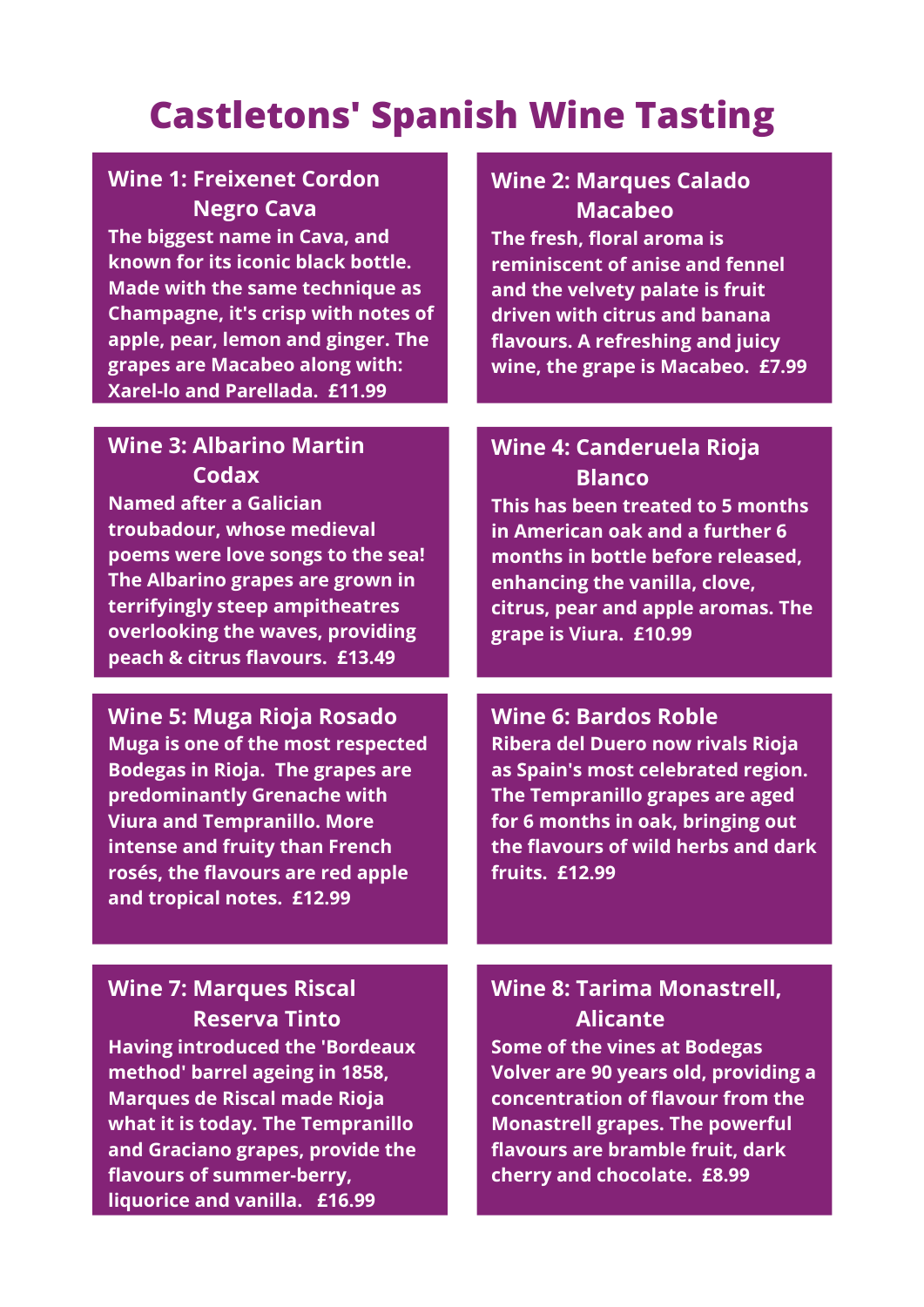## **Castletons' Spanish Wine Tasting**

### **Wine 1: Freixenet Cordon Negro Cava**

**The biggest name in Cava, and known for its iconic black bottle. Made with the same technique as Champagne, it's crisp with notes of apple, pear, lemon and ginger. The grapes are Macabeo along with: Xarel-lo and Parellada. £11.99**

### **Wine 3: Albarino Martin Codax**

**Named after a Galician troubadour, whose medieval poems were love songs to the sea! The Albarino grapes are grown in terrifyingly steep ampitheatres overlooking the waves, providing peach & citrus flavours. £13.49**

**Wine 5: Muga Rioja Rosado Muga is one of the most respected Bodegas in Rioja. The grapes are predominantly Grenache with Viura and Tempranillo. More intense and fruity than French rosés, the flavours are red apple and tropical notes. £12.99**

#### **Wine 2: Marques Calado Macabeo**

**The fresh, floral aroma is reminiscent of anise and fennel and the velvety palate is fruit driven with citrus and banana flavours. A refreshing and juicy wine, the grape is Macabeo. £7.99**

#### **Wine 4: Canderuela Rioja Blanco**

**This has been treated to 5 months in American oak and a further 6 months in bottle before released, enhancing the vanilla, clove, citrus, pear and apple aromas. The grape is Viura. £10.99**

#### **Wine 6: Bardos Roble**

**Ribera del Duero now rivals Rioja as Spain's most celebrated region. The Tempranillo grapes are aged for 6 months in oak, bringing out the flavours of wild herbs and dark fruits. £12.99**

### **Wine 7: Marques Riscal Reserva Tinto**

**Having introduced the 'Bordeaux method' barrel ageing in 1858, Marques de Riscal made Rioja what it is today. The Tempranillo and Graciano grapes, provide the flavours of summer-berry, liquorice and vanilla. £16.99**

#### **Wine 8: Tarima Monastrell, Alicante Some of the vines at Bodegas Volver are 90 years old, providing a**

**concentration of flavour from the Monastrell grapes. The powerful flavours are bramble fruit, dark cherry and chocolate. £8.99**